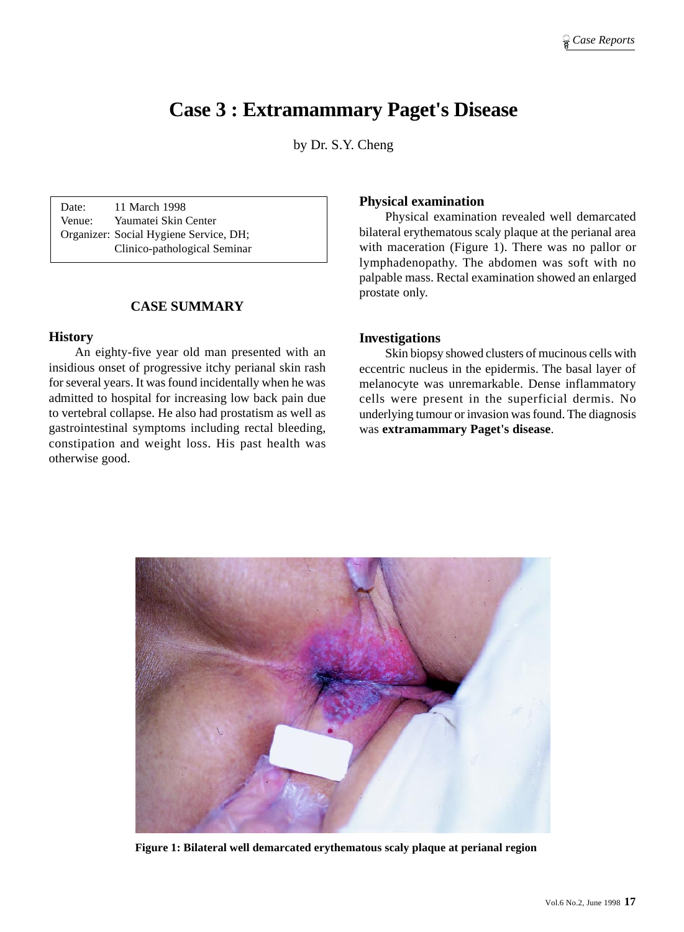# **Case 3 : Extramammary Paget's Disease**

by Dr. S.Y. Cheng

Date: 11 March 1998 Venue: Yaumatei Skin Center Organizer: Social Hygiene Service, DH; Clinico-pathological Seminar

# **CASE SUMMARY**

### **History**

An eighty-five year old man presented with an insidious onset of progressive itchy perianal skin rash for several years. It was found incidentally when he was admitted to hospital for increasing low back pain due to vertebral collapse. He also had prostatism as well as gastrointestinal symptoms including rectal bleeding, constipation and weight loss. His past health was otherwise good.

## **Physical examination**

Physical examination revealed well demarcated bilateral erythematous scaly plaque at the perianal area with maceration (Figure 1). There was no pallor or lymphadenopathy. The abdomen was soft with no palpable mass. Rectal examination showed an enlarged prostate only.

## **Investigations**

Skin biopsy showed clusters of mucinous cells with eccentric nucleus in the epidermis. The basal layer of melanocyte was unremarkable. Dense inflammatory cells were present in the superficial dermis. No underlying tumour or invasion was found. The diagnosis was **extramammary Paget's disease**.



**Figure 1: Bilateral well demarcated erythematous scaly plaque at perianal region**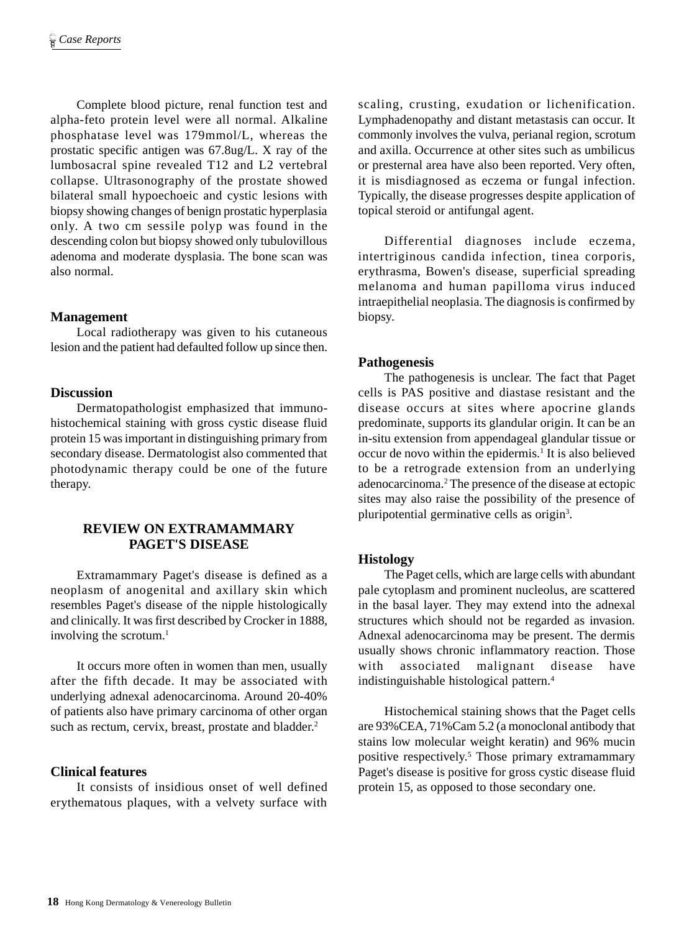Complete blood picture, renal function test and alpha-feto protein level were all normal. Alkaline phosphatase level was 179mmol/L, whereas the prostatic specific antigen was 67.8ug/L. X ray of the lumbosacral spine revealed T12 and L2 vertebral collapse. Ultrasonography of the prostate showed bilateral small hypoechoeic and cystic lesions with biopsy showing changes of benign prostatic hyperplasia only. A two cm sessile polyp was found in the descending colon but biopsy showed only tubulovillous adenoma and moderate dysplasia. The bone scan was also normal.

# **Management**

Local radiotherapy was given to his cutaneous lesion and the patient had defaulted follow up since then.

## **Discussion**

Dermatopathologist emphasized that immunohistochemical staining with gross cystic disease fluid protein 15 was important in distinguishing primary from secondary disease. Dermatologist also commented that photodynamic therapy could be one of the future therapy.

# **REVIEW ON EXTRAMAMMARY PAGET'S DISEASE**

Extramammary Paget's disease is defined as a neoplasm of anogenital and axillary skin which resembles Paget's disease of the nipple histologically and clinically. It was first described by Crocker in 1888, involving the scrotum.<sup>1</sup>

It occurs more often in women than men, usually after the fifth decade. It may be associated with underlying adnexal adenocarcinoma. Around 20-40% of patients also have primary carcinoma of other organ such as rectum, cervix, breast, prostate and bladder.<sup>2</sup>

# **Clinical features**

It consists of insidious onset of well defined erythematous plaques, with a velvety surface with scaling, crusting, exudation or lichenification. Lymphadenopathy and distant metastasis can occur. It commonly involves the vulva, perianal region, scrotum and axilla. Occurrence at other sites such as umbilicus or presternal area have also been reported. Very often, it is misdiagnosed as eczema or fungal infection. Typically, the disease progresses despite application of topical steroid or antifungal agent.

Differential diagnoses include eczema, intertriginous candida infection, tinea corporis, erythrasma, Bowen's disease, superficial spreading melanoma and human papilloma virus induced intraepithelial neoplasia. The diagnosis is confirmed by biopsy.

# **Pathogenesis**

The pathogenesis is unclear. The fact that Paget cells is PAS positive and diastase resistant and the disease occurs at sites where apocrine glands predominate, supports its glandular origin. It can be an in-situ extension from appendageal glandular tissue or occur de novo within the epidermis.<sup>1</sup> It is also believed to be a retrograde extension from an underlying adenocarcinoma.2 The presence of the disease at ectopic sites may also raise the possibility of the presence of pluripotential germinative cells as origin<sup>3</sup>.

# **Histology**

The Paget cells, which are large cells with abundant pale cytoplasm and prominent nucleolus, are scattered in the basal layer. They may extend into the adnexal structures which should not be regarded as invasion. Adnexal adenocarcinoma may be present. The dermis usually shows chronic inflammatory reaction. Those with associated malignant disease have indistinguishable histological pattern.4

Histochemical staining shows that the Paget cells are 93%CEA, 71%Cam 5.2 (a monoclonal antibody that stains low molecular weight keratin) and 96% mucin positive respectively.5 Those primary extramammary Paget's disease is positive for gross cystic disease fluid protein 15, as opposed to those secondary one.